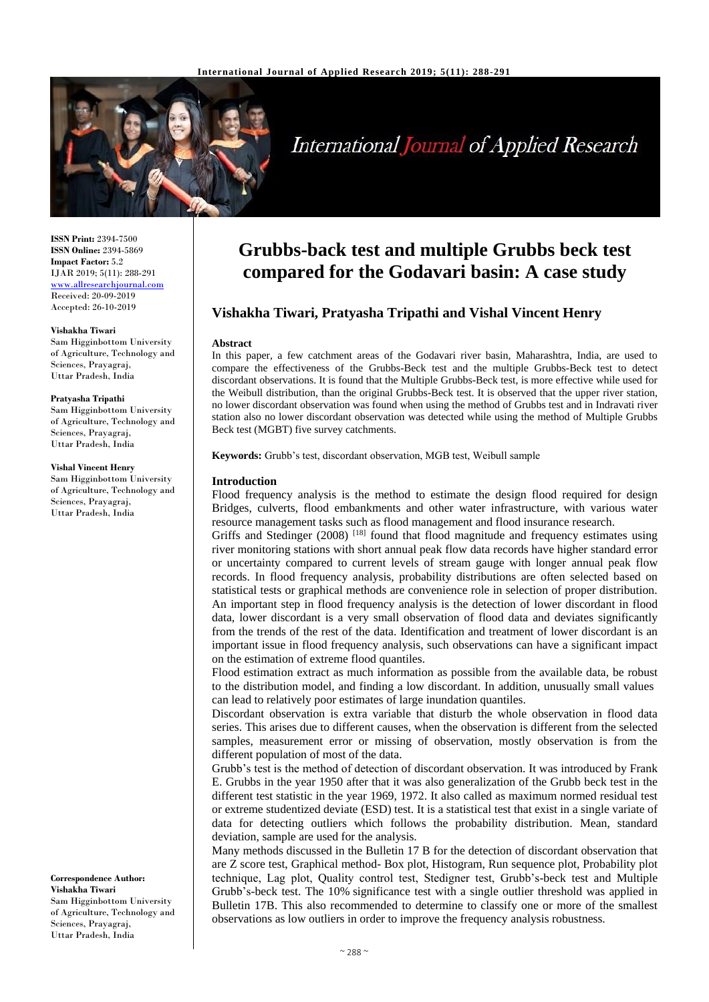

# **International Journal of Applied Research**

**ISSN Print:** 2394-7500 **ISSN Online:** 2394-5869 **Impact Factor:** 5.2 IJAR 2019; 5(11): 288-291 <www.allresearchjournal.com> Received: 20-09-2019 Accepted: 26-10-2019

#### **Vishakha Tiwari**

Sam Higginbottom University of Agriculture, Technology and Sciences, Prayagraj, Uttar Pradesh, India

#### **Pratyasha Tripathi**

Sam Higginbottom University of Agriculture, Technology and Sciences, Prayagraj, Uttar Pradesh, India

#### **Vishal Vincent Henry**

Sam Higginbottom University of Agriculture, Technology and Sciences, Prayagraj, Uttar Pradesh, India

**Correspondence Author: Vishakha Tiwari** Sam Higginbottom University of Agriculture, Technology and Sciences, Prayagraj, Uttar Pradesh, India

# **Grubbs-back test and multiple Grubbs beck test compared for the Godavari basin: A case study**

# **Vishakha Tiwari, Pratyasha Tripathi and Vishal Vincent Henry**

### **Abstract**

In this paper, a few catchment areas of the Godavari river basin, Maharashtra, India, are used to compare the effectiveness of the Grubbs-Beck test and the multiple Grubbs-Beck test to detect discordant observations. It is found that the Multiple Grubbs-Beck test, is more effective while used for the Weibull distribution, than the original Grubbs-Beck test. It is observed that the upper river station, no lower discordant observation was found when using the method of Grubbs test and in Indravati river station also no lower discordant observation was detected while using the method of Multiple Grubbs Beck test (MGBT) five survey catchments.

**Keywords:** Grubb's test, discordant observation, MGB test, Weibull sample

# **Introduction**

Flood frequency analysis is the method to estimate the design flood required for design Bridges, culverts, flood embankments and other water infrastructure, with various water resource management tasks such as flood management and flood insurance research.

Griffs and Stedinger  $(2008)$ <sup>[18]</sup> found that flood magnitude and frequency estimates using river monitoring stations with short annual peak flow data records have higher standard error or uncertainty compared to current levels of stream gauge with longer annual peak flow records. In flood frequency analysis, probability distributions are often selected based on statistical tests or graphical methods are convenience role in selection of proper distribution. An important step in flood frequency analysis is the detection of lower discordant in flood data, lower discordant is a very small observation of flood data and deviates significantly from the trends of the rest of the data. Identification and treatment of lower discordant is an important issue in flood frequency analysis, such observations can have a significant impact on the estimation of extreme flood quantiles.

Flood estimation extract as much information as possible from the available data, be robust to the distribution model, and finding a low discordant. In addition, unusually small values can lead to relatively poor estimates of large inundation quantiles.

Discordant observation is extra variable that disturb the whole observation in flood data series. This arises due to different causes, when the observation is different from the selected samples, measurement error or missing of observation, mostly observation is from the different population of most of the data.

Grubb's test is the method of detection of discordant observation. It was introduced by Frank E. Grubbs in the year 1950 after that it was also generalization of the Grubb beck test in the different test statistic in the year 1969, 1972. It also called as maximum normed residual test or extreme studentized deviate (ESD) test. It is a statistical test that exist in a single variate of data for detecting outliers which follows the probability distribution. Mean, standard deviation, sample are used for the analysis.

Many methods discussed in the Bulletin 17 B for the detection of discordant observation that are Z score test, Graphical method- Box plot, Histogram, Run sequence plot, Probability plot technique, Lag plot, Quality control test, Stedigner test, Grubb's-beck test and Multiple Grubb's-beck test. The 10% significance test with a single outlier threshold was applied in Bulletin 17B. This also recommended to determine to classify one or more of the smallest observations as low outliers in order to improve the frequency analysis robustness.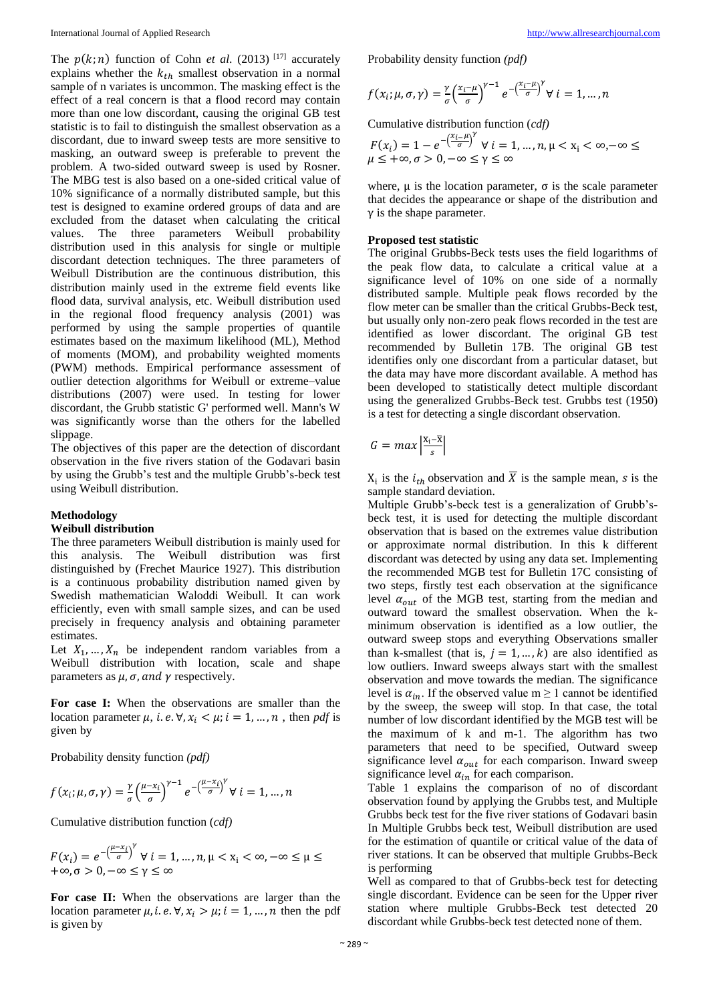The  $p(k; n)$  function of Cohn *et al.* (2013) <sup>[17]</sup> accurately explains whether the  $k_{th}$  smallest observation in a normal sample of n variates is uncommon. The masking effect is the effect of a real concern is that a flood record may contain more than one low discordant, causing the original GB test statistic is to fail to distinguish the smallest observation as a discordant, due to inward sweep tests are more sensitive to masking, an outward sweep is preferable to prevent the problem. A two-sided outward sweep is used by Rosner. The MBG test is also based on a one-sided critical value of 10% significance of a normally distributed sample, but this test is designed to examine ordered groups of data and are excluded from the dataset when calculating the critical values. The three parameters Weibull probability distribution used in this analysis for single or multiple discordant detection techniques. The three parameters of Weibull Distribution are the continuous distribution, this distribution mainly used in the extreme field events like flood data, survival analysis, etc. Weibull distribution used in the regional flood frequency analysis (2001) was performed by using the sample properties of quantile estimates based on the maximum likelihood (ML), Method of moments (MOM), and probability weighted moments (PWM) methods. Empirical performance assessment of outlier detection algorithms for Weibull or extreme–value distributions (2007) were used. In testing for lower discordant, the Grubb statistic G' performed well. Mann's W was significantly worse than the others for the labelled slippage.

The objectives of this paper are the detection of discordant observation in the five rivers station of the Godavari basin by using the Grubb's test and the multiple Grubb's-beck test using Weibull distribution.

#### **Methodology**

## **Weibull distribution**

The three parameters Weibull distribution is mainly used for this analysis. The Weibull distribution was first distinguished by (Frechet Maurice 1927). This distribution is a continuous probability distribution named given by Swedish mathematician Waloddi Weibull. It can work efficiently, even with small sample sizes, and can be used precisely in frequency analysis and obtaining parameter estimates.

Let  $X_1, \ldots, X_n$  be independent random variables from a Weibull distribution with location, scale and shape parameters as  $\mu$ ,  $\sigma$ , and  $\gamma$  respectively.

**For case I:** When the observations are smaller than the location parameter  $\mu$ , *i.e.*  $\nabla$ ,  $x_i < \mu$ ;  $i = 1, ..., n$ , then *pdf* is given by

Probability density function *(pdf)* 

$$
f(x_i; \mu, \sigma, \gamma) = \frac{\gamma}{\sigma} \left(\frac{\mu - x_i}{\sigma}\right)^{\gamma - 1} e^{-\left(\frac{\mu - x_i}{\sigma}\right)^{\gamma}} \forall i = 1, ..., n
$$

Cumulative distribution function (*cdf)*

$$
F(x_i) = e^{-\left(\frac{\mu - x_i}{\sigma}\right)^{\gamma}} \forall i = 1, ..., n, \mu < x_i < \infty, -\infty \le \mu \le
$$
  
+ $\infty, \sigma > 0, -\infty \le \gamma \le \infty$ 

**For case II:** When the observations are larger than the location parameter  $\mu$ , *i.e.*  $\nabla$ ,  $x_i > \mu$ ; *i* = 1, ..., *n* then the pdf is given by

Probability density function *(pdf)*

$$
f(x_i; \mu, \sigma, \gamma) = \frac{\gamma}{\sigma} \left(\frac{x_i - \mu}{\sigma}\right)^{\gamma - 1} e^{-\left(\frac{x_i - \mu}{\sigma}\right)^{\gamma}} \forall i = 1, ..., n
$$

Cumulative distribution function (*cdf)*

$$
F(x_i) = 1 - e^{-\left(\frac{x_i - \mu}{\sigma}\right)^{\gamma}} \forall i = 1, ..., n, \mu < x_i < \infty, -\infty \le \mu \le +\infty, \sigma > 0, -\infty \le \gamma \le \infty
$$

where,  $\mu$  is the location parameter,  $\sigma$  is the scale parameter that decides the appearance or shape of the distribution and  $\gamma$  is the shape parameter.

### **Proposed test statistic**

The original Grubbs-Beck tests uses the field logarithms of the peak flow data, to calculate a critical value at a significance level of 10% on one side of a normally distributed sample. Multiple peak flows recorded by the flow meter can be smaller than the critical Grubbs-Beck test, but usually only non-zero peak flows recorded in the test are identified as lower discordant. The original GB test recommended by Bulletin 17B. The original GB test identifies only one discordant from a particular dataset, but the data may have more discordant available. A method has been developed to statistically detect multiple discordant using the generalized Grubbs-Beck test. Grubbs test (1950) is a test for detecting a single discordant observation.

$$
G = max \left| \frac{\mathbf{x}_{i} - \overline{\mathbf{x}}}{s} \right|
$$

 $X_i$  is the  $i_{th}$  observation and X is the sample mean, s is the sample standard deviation.

Multiple Grubb's-beck test is a generalization of Grubb'sbeck test, it is used for detecting the multiple discordant observation that is based on the extremes value distribution or approximate normal distribution. In this k different discordant was detected by using any data set. Implementing the recommended MGB test for Bulletin 17C consisting of two steps, firstly test each observation at the significance level  $\alpha_{out}$  of the MGB test, starting from the median and outward toward the smallest observation. When the kminimum observation is identified as a low outlier, the outward sweep stops and everything Observations smaller than k-smallest (that is,  $j = 1, ..., k$ ) are also identified as low outliers. Inward sweeps always start with the smallest observation and move towards the median. The significance level is  $\alpha_{in}$ . If the observed value m  $\geq 1$  cannot be identified by the sweep, the sweep will stop. In that case, the total number of low discordant identified by the MGB test will be the maximum of k and m-1. The algorithm has two parameters that need to be specified, Outward sweep significance level  $\alpha_{out}$  for each comparison. Inward sweep significance level  $\alpha_{in}$  for each comparison.

Table 1 explains the comparison of no of discordant observation found by applying the Grubbs test, and Multiple Grubbs beck test for the five river stations of Godavari basin In Multiple Grubbs beck test, Weibull distribution are used for the estimation of quantile or critical value of the data of river stations. It can be observed that multiple Grubbs-Beck is performing

Well as compared to that of Grubbs-beck test for detecting single discordant. Evidence can be seen for the Upper river station where multiple Grubbs-Beck test detected 20 discordant while Grubbs-beck test detected none of them.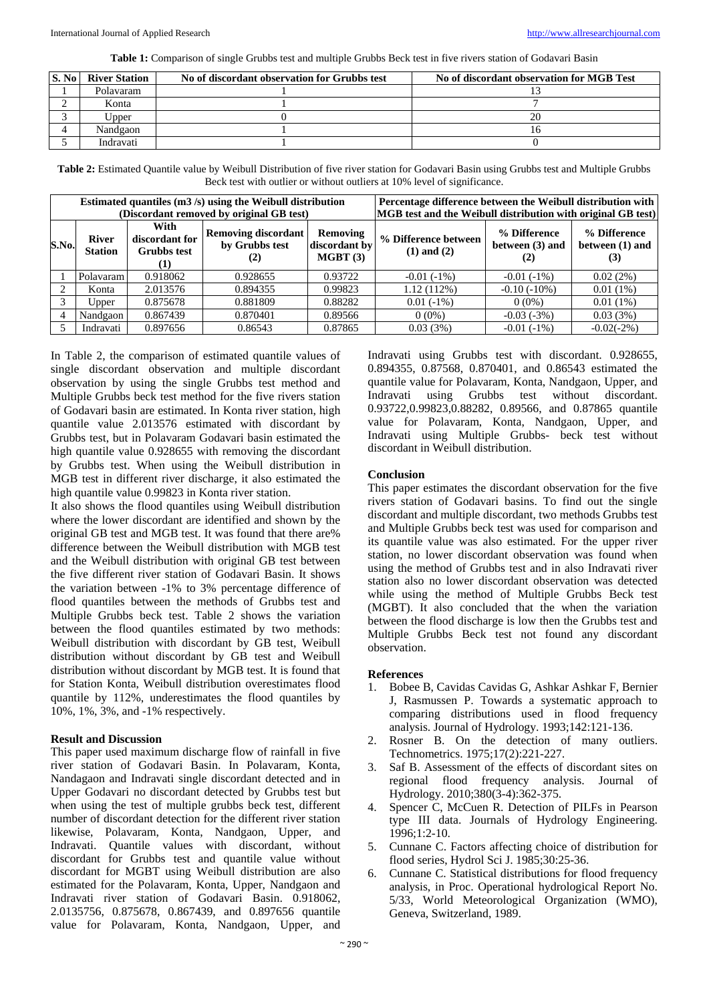**Table 1:** Comparison of single Grubbs test and multiple Grubbs Beck test in five rivers station of Godavari Basin

| <b>S.</b> No l | <b>River Station</b> | No of discordant observation for Grubbs test | No of discordant observation for MGB Test |  |  |
|----------------|----------------------|----------------------------------------------|-------------------------------------------|--|--|
|                | Polavaram            |                                              |                                           |  |  |
|                | Konta                |                                              |                                           |  |  |
|                | Upper                |                                              |                                           |  |  |
|                | Nandgaon             |                                              |                                           |  |  |
|                | Indravati            |                                              |                                           |  |  |

**Table 2:** Estimated Quantile value by Weibull Distribution of five river station for Godavari Basin using Grubbs test and Multiple Grubbs Beck test with outlier or without outliers at 10% level of significance.

|       |                                |                                                     | Estimated quantiles $(m3/s)$ using the Weibull distribution<br>(Discordant removed by original GB test) | Percentage difference between the Weibull distribution with<br>MGB test and the Weibull distribution with original GB test) |                                         |                                 |                                        |
|-------|--------------------------------|-----------------------------------------------------|---------------------------------------------------------------------------------------------------------|-----------------------------------------------------------------------------------------------------------------------------|-----------------------------------------|---------------------------------|----------------------------------------|
| S.No. | <b>River</b><br><b>Station</b> | With<br>discordant for<br><b>Grubbs</b> test<br>(1) | <b>Removing discordant</b><br>by Grubbs test<br>(2)                                                     | Removing<br>discordant by<br>MGBT(3)                                                                                        | % Difference between<br>$(1)$ and $(2)$ | % Difference<br>between (3) and | % Difference<br>between (1) and<br>(3) |
|       | Polavaram                      | 0.918062                                            | 0.928655                                                                                                | 0.93722                                                                                                                     | $-0.01(-1%)$                            | $-0.01(-1%)$                    | 0.02(2%)                               |
|       | Konta                          | 2.013576                                            | 0.894355                                                                                                | 0.99823                                                                                                                     | $1.12(112\%)$                           | $-0.10(-10\%)$                  | $0.01(1\%)$                            |
|       | Upper                          | 0.875678                                            | 0.881809                                                                                                | 0.88282                                                                                                                     | $0.01(-1%)$                             | $0(0\%)$                        | $0.01(1\%)$                            |
| 4     | Nandgaon                       | 0.867439                                            | 0.870401                                                                                                | 0.89566                                                                                                                     | $0(0\%)$                                | $-0.03(-3%)$                    | 0.03(3%)                               |
|       | Indravati                      | 0.897656                                            | 0.86543                                                                                                 | 0.87865                                                                                                                     | 0.03(3%)                                | $-0.01(-1%)$                    | $-0.02(-2%)$                           |

In Table 2, the comparison of estimated quantile values of single discordant observation and multiple discordant observation by using the single Grubbs test method and Multiple Grubbs beck test method for the five rivers station of Godavari basin are estimated. In Konta river station, high quantile value 2.013576 estimated with discordant by Grubbs test, but in Polavaram Godavari basin estimated the high quantile value 0.928655 with removing the discordant by Grubbs test. When using the Weibull distribution in MGB test in different river discharge, it also estimated the high quantile value 0.99823 in Konta river station.

It also shows the flood quantiles using Weibull distribution where the lower discordant are identified and shown by the original GB test and MGB test. It was found that there are% difference between the Weibull distribution with MGB test and the Weibull distribution with original GB test between the five different river station of Godavari Basin. It shows the variation between -1% to 3% percentage difference of flood quantiles between the methods of Grubbs test and Multiple Grubbs beck test. Table 2 shows the variation between the flood quantiles estimated by two methods: Weibull distribution with discordant by GB test, Weibull distribution without discordant by GB test and Weibull distribution without discordant by MGB test. It is found that for Station Konta, Weibull distribution overestimates flood quantile by 112%, underestimates the flood quantiles by 10%, 1%, 3%, and -1% respectively.

# **Result and Discussion**

This paper used maximum discharge flow of rainfall in five river station of Godavari Basin. In Polavaram, Konta, Nandagaon and Indravati single discordant detected and in Upper Godavari no discordant detected by Grubbs test but when using the test of multiple grubbs beck test, different number of discordant detection for the different river station likewise, Polavaram, Konta, Nandgaon, Upper, and Indravati. Quantile values with discordant, without discordant for Grubbs test and quantile value without discordant for MGBT using Weibull distribution are also estimated for the Polavaram, Konta, Upper, Nandgaon and Indravati river station of Godavari Basin. 0.918062, 2.0135756, 0.875678, 0.867439, and 0.897656 quantile value for Polavaram, Konta, Nandgaon, Upper, and

Indravati using Grubbs test with discordant. 0.928655, 0.894355, 0.87568, 0.870401, and 0.86543 estimated the quantile value for Polavaram, Konta, Nandgaon, Upper, and Indravati using Grubbs test without discordant. 0.93722,0.99823,0.88282, 0.89566, and 0.87865 quantile value for Polavaram, Konta, Nandgaon, Upper, and Indravati using Multiple Grubbs- beck test without discordant in Weibull distribution.

# **Conclusion**

This paper estimates the discordant observation for the five rivers station of Godavari basins. To find out the single discordant and multiple discordant, two methods Grubbs test and Multiple Grubbs beck test was used for comparison and its quantile value was also estimated. For the upper river station, no lower discordant observation was found when using the method of Grubbs test and in also Indravati river station also no lower discordant observation was detected while using the method of Multiple Grubbs Beck test (MGBT). It also concluded that the when the variation between the flood discharge is low then the Grubbs test and Multiple Grubbs Beck test not found any discordant observation.

# **References**

- 1. Bobee B, Cavidas Cavidas G, Ashkar Ashkar F, Bernier J, Rasmussen P. Towards a systematic approach to comparing distributions used in flood frequency analysis. Journal of Hydrology. 1993;142:121-136.
- 2. Rosner B. On the detection of many outliers. Technometrics. 1975;17(2):221-227.
- 3. Saf B. Assessment of the effects of discordant sites on regional flood frequency analysis. Journal of Hydrology. 2010;380(3-4):362-375.
- 4. Spencer C, McCuen R. Detection of PILFs in Pearson type III data. Journals of Hydrology Engineering. 1996;1:2-10.
- 5. Cunnane C. Factors affecting choice of distribution for flood series, Hydrol Sci J. 1985;30:25-36.
- 6. Cunnane C. Statistical distributions for flood frequency analysis, in Proc. Operational hydrological Report No. 5/33, World Meteorological Organization (WMO), Geneva, Switzerland, 1989.